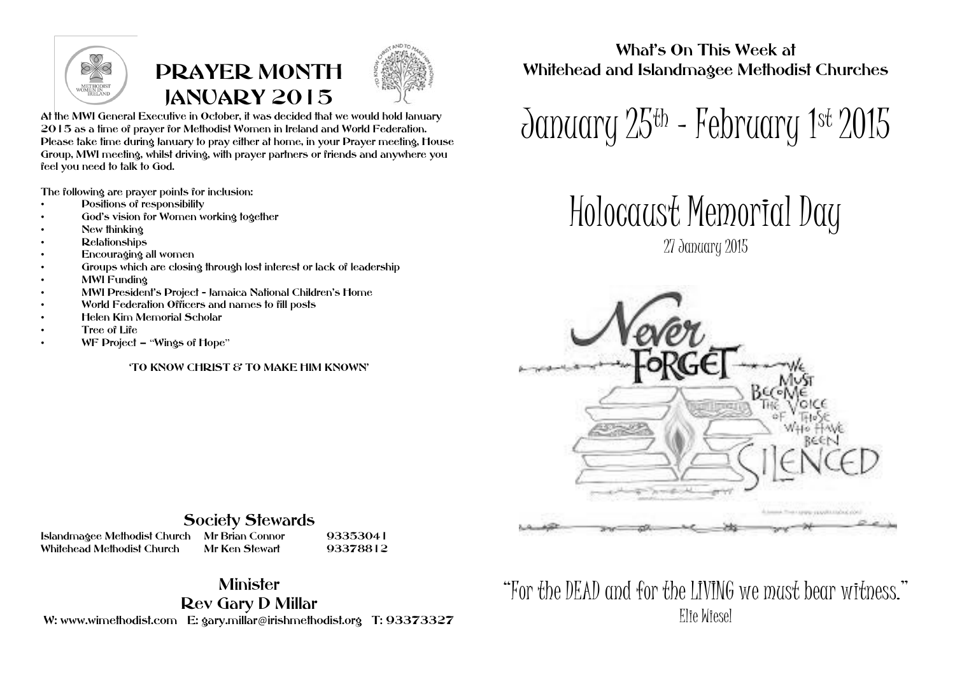

## PRAYER MONTH JANUARY 2015



At the MWI General Executive in October, it was decided that we would hold January 2015 as a time of prayer for Methodist Women in Ireland and World Federation. Please take time during January to pray either at home, in your Prayer meeting, House Group, MWI meeting, whilst driving, with prayer partners or friends and anywhere you feel you need to talk to God.

The following are prayer points for inclusion:

- Positions of responsibility
- God's vision for Women working together
- New thinking
- Relationships
- Encouraging all women
- Groups which are closing through lost interest or lack of leadership
- MWI Funding
- MWI President's Project Jamaica National Children's Home
- World Federation Officers and names to fill posts
- Helen Kim Memorial Scholar
- Tree of Life
- WF Project "Wings of Hope"

'TO KNOW CHRIST & TO MAKE HIM KNOWN'

What's On This Week at Whitehead and Islandmagee Methodist Churches

January 25th - February 1st 2015

Holocaust Memorial Day

27 January 2015



## Society Stewards

Islandmagee Methodist Church Mr Brian Connor 93353041 Whitehead Methodist Church

## **Minister**

Rev Gary D Millar

W: www.wimethodist.com E: gary.millar@irishmethodist.org T: 93373327

"For the DEAD and for the LIVING we must bear witness." Elie Wiesel